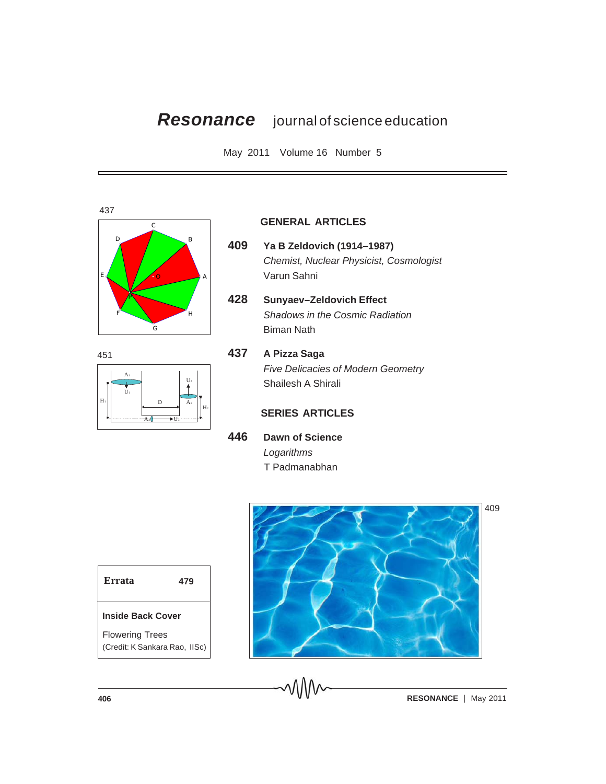# *Resonance* journal of science education

May 2011 Volume 16 Number 5



 $H<sub>2</sub>$  $A<sub>2</sub>$  $U<sub>2</sub>$  $A_3 \big\uparrow \longrightarrow U_3$  $H_1$  $_{\rm U_1}$ A1 D 451

#### **GENERAL ARTICLES**

- **409 Ya B Zeldovich (1914–1987)** *Chemist, Nuclear Physicist, Cosmologist* Varun Sahni
- **428 Sunyaev–Zeldovich Effect** *Shadows in the Cosmic Radiation* Biman Nath



## **437 A Pizza Saga** *Five Delicacies of Modern Geometry* Shailesh A Shirali

## **SERIES ARTICLES**

**446 Dawn of Science** *Logarithms* T Padmanabhan

| <b>Errata</b>            | 479 |  |
|--------------------------|-----|--|
| <b>Inside Back Cover</b> |     |  |

Flowering Trees (Credit: K Sankara Rao, IISc)



409

**406 RESONANCE** | May 2011